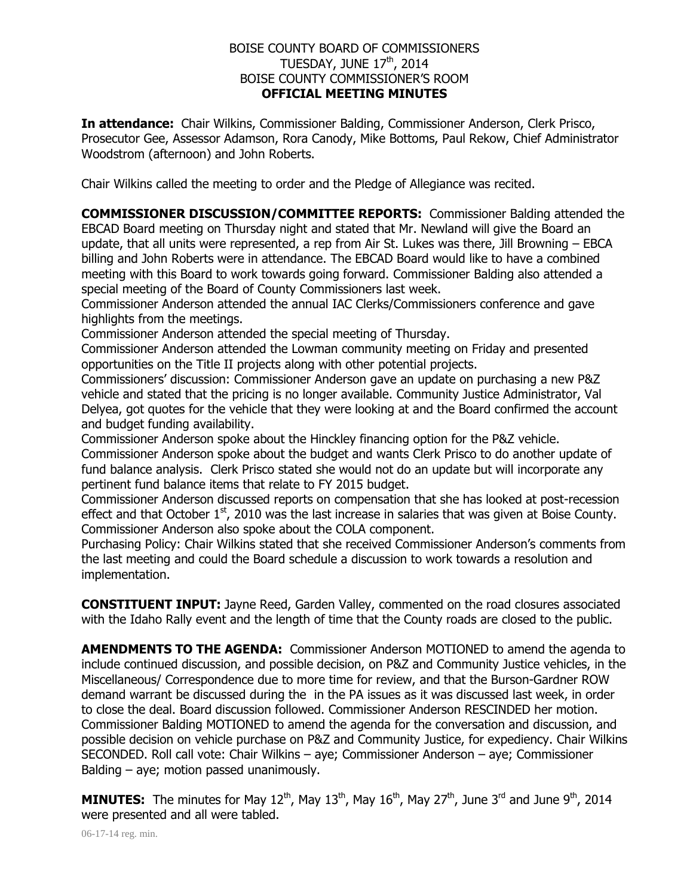## BOISE COUNTY BOARD OF COMMISSIONERS TUESDAY, JUNE  $17<sup>th</sup>$ , 2014 BOISE COUNTY COMMISSIONER'S ROOM **OFFICIAL MEETING MINUTES**

**In attendance:** Chair Wilkins, Commissioner Balding, Commissioner Anderson, Clerk Prisco, Prosecutor Gee, Assessor Adamson, Rora Canody, Mike Bottoms, Paul Rekow, Chief Administrator Woodstrom (afternoon) and John Roberts.

Chair Wilkins called the meeting to order and the Pledge of Allegiance was recited.

**COMMISSIONER DISCUSSION/COMMITTEE REPORTS:** Commissioner Balding attended the EBCAD Board meeting on Thursday night and stated that Mr. Newland will give the Board an update, that all units were represented, a rep from Air St. Lukes was there, Jill Browning – EBCA billing and John Roberts were in attendance. The EBCAD Board would like to have a combined meeting with this Board to work towards going forward. Commissioner Balding also attended a special meeting of the Board of County Commissioners last week.

Commissioner Anderson attended the annual IAC Clerks/Commissioners conference and gave highlights from the meetings.

Commissioner Anderson attended the special meeting of Thursday.

Commissioner Anderson attended the Lowman community meeting on Friday and presented opportunities on the Title II projects along with other potential projects.

Commissioners' discussion: Commissioner Anderson gave an update on purchasing a new P&Z vehicle and stated that the pricing is no longer available. Community Justice Administrator, Val Delyea, got quotes for the vehicle that they were looking at and the Board confirmed the account and budget funding availability.

Commissioner Anderson spoke about the Hinckley financing option for the P&Z vehicle.

Commissioner Anderson spoke about the budget and wants Clerk Prisco to do another update of fund balance analysis. Clerk Prisco stated she would not do an update but will incorporate any pertinent fund balance items that relate to FY 2015 budget.

Commissioner Anderson discussed reports on compensation that she has looked at post-recession effect and that October  $1<sup>st</sup>$ , 2010 was the last increase in salaries that was given at Boise County. Commissioner Anderson also spoke about the COLA component.

Purchasing Policy: Chair Wilkins stated that she received Commissioner Anderson's comments from the last meeting and could the Board schedule a discussion to work towards a resolution and implementation.

**CONSTITUENT INPUT:** Jayne Reed, Garden Valley, commented on the road closures associated with the Idaho Rally event and the length of time that the County roads are closed to the public.

**AMENDMENTS TO THE AGENDA:** Commissioner Anderson MOTIONED to amend the agenda to include continued discussion, and possible decision, on P&Z and Community Justice vehicles, in the Miscellaneous/ Correspondence due to more time for review, and that the Burson-Gardner ROW demand warrant be discussed during the in the PA issues as it was discussed last week, in order to close the deal. Board discussion followed. Commissioner Anderson RESCINDED her motion. Commissioner Balding MOTIONED to amend the agenda for the conversation and discussion, and possible decision on vehicle purchase on P&Z and Community Justice, for expediency. Chair Wilkins SECONDED. Roll call vote: Chair Wilkins – aye; Commissioner Anderson – aye; Commissioner Balding – aye; motion passed unanimously.

**MINUTES:** The minutes for May 12<sup>th</sup>, May 13<sup>th</sup>, May 16<sup>th</sup>, May 27<sup>th</sup>, June 3<sup>rd</sup> and June 9<sup>th</sup>, 2014 were presented and all were tabled.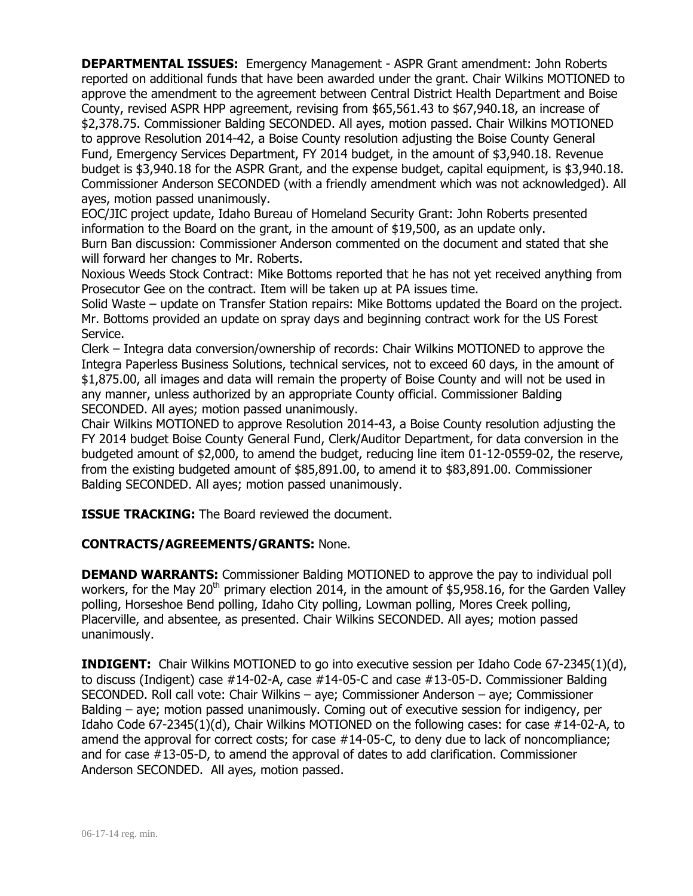**DEPARTMENTAL ISSUES:** Emergency Management - ASPR Grant amendment: John Roberts reported on additional funds that have been awarded under the grant. Chair Wilkins MOTIONED to approve the amendment to the agreement between Central District Health Department and Boise County, revised ASPR HPP agreement, revising from \$65,561.43 to \$67,940.18, an increase of \$2,378.75. Commissioner Balding SECONDED. All ayes, motion passed. Chair Wilkins MOTIONED to approve Resolution 2014-42, a Boise County resolution adjusting the Boise County General Fund, Emergency Services Department, FY 2014 budget, in the amount of \$3,940.18. Revenue budget is \$3,940.18 for the ASPR Grant, and the expense budget, capital equipment, is \$3,940.18. Commissioner Anderson SECONDED (with a friendly amendment which was not acknowledged). All ayes, motion passed unanimously.

EOC/JIC project update, Idaho Bureau of Homeland Security Grant: John Roberts presented information to the Board on the grant, in the amount of \$19,500, as an update only. Burn Ban discussion: Commissioner Anderson commented on the document and stated that she will forward her changes to Mr. Roberts.

Noxious Weeds Stock Contract: Mike Bottoms reported that he has not yet received anything from Prosecutor Gee on the contract. Item will be taken up at PA issues time.

Solid Waste – update on Transfer Station repairs: Mike Bottoms updated the Board on the project. Mr. Bottoms provided an update on spray days and beginning contract work for the US Forest Service.

Clerk – Integra data conversion/ownership of records: Chair Wilkins MOTIONED to approve the Integra Paperless Business Solutions, technical services, not to exceed 60 days, in the amount of \$1,875.00, all images and data will remain the property of Boise County and will not be used in any manner, unless authorized by an appropriate County official. Commissioner Balding SECONDED. All ayes; motion passed unanimously.

Chair Wilkins MOTIONED to approve Resolution 2014-43, a Boise County resolution adjusting the FY 2014 budget Boise County General Fund, Clerk/Auditor Department, for data conversion in the budgeted amount of \$2,000, to amend the budget, reducing line item 01-12-0559-02, the reserve, from the existing budgeted amount of \$85,891.00, to amend it to \$83,891.00. Commissioner Balding SECONDED. All ayes; motion passed unanimously.

**ISSUE TRACKING:** The Board reviewed the document.

## **CONTRACTS/AGREEMENTS/GRANTS:** None.

**DEMAND WARRANTS:** Commissioner Balding MOTIONED to approve the pay to individual poll workers, for the May 20<sup>th</sup> primary election 2014, in the amount of \$5,958.16, for the Garden Valley polling, Horseshoe Bend polling, Idaho City polling, Lowman polling, Mores Creek polling, Placerville, and absentee, as presented. Chair Wilkins SECONDED. All ayes; motion passed unanimously.

**INDIGENT:** Chair Wilkins MOTIONED to go into executive session per Idaho Code 67-2345(1)(d), to discuss (Indigent) case #14-02-A, case #14-05-C and case #13-05-D. Commissioner Balding SECONDED. Roll call vote: Chair Wilkins – aye; Commissioner Anderson – aye; Commissioner Balding – aye; motion passed unanimously. Coming out of executive session for indigency, per Idaho Code 67-2345(1)(d), Chair Wilkins MOTIONED on the following cases: for case #14-02-A, to amend the approval for correct costs; for case #14-05-C, to deny due to lack of noncompliance; and for case #13-05-D, to amend the approval of dates to add clarification. Commissioner Anderson SECONDED. All ayes, motion passed.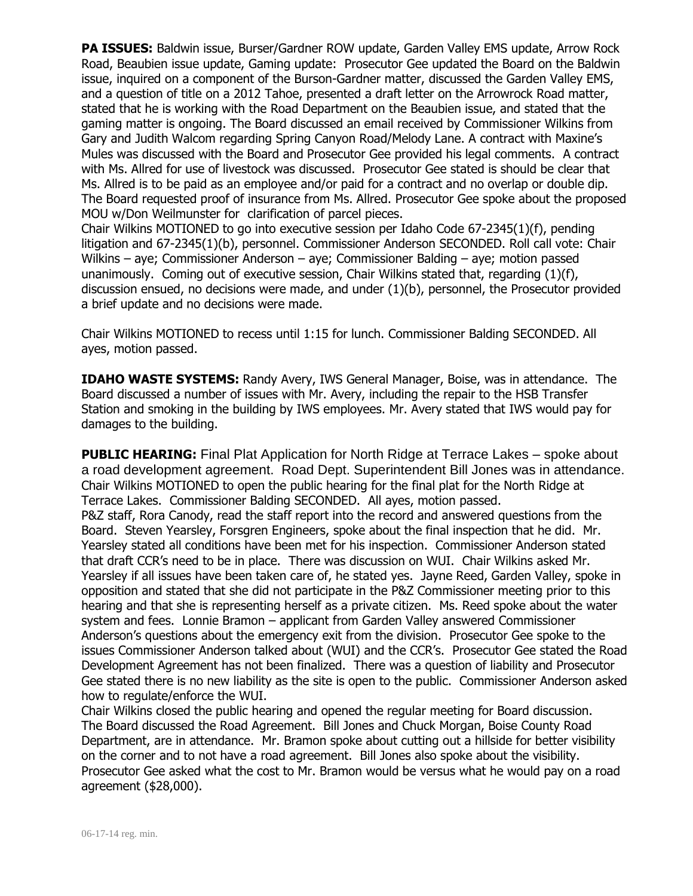**PA ISSUES:** Baldwin issue, Burser/Gardner ROW update, Garden Valley EMS update, Arrow Rock Road, Beaubien issue update, Gaming update: Prosecutor Gee updated the Board on the Baldwin issue, inquired on a component of the Burson-Gardner matter, discussed the Garden Valley EMS, and a question of title on a 2012 Tahoe, presented a draft letter on the Arrowrock Road matter, stated that he is working with the Road Department on the Beaubien issue, and stated that the gaming matter is ongoing. The Board discussed an email received by Commissioner Wilkins from Gary and Judith Walcom regarding Spring Canyon Road/Melody Lane. A contract with Maxine's Mules was discussed with the Board and Prosecutor Gee provided his legal comments. A contract with Ms. Allred for use of livestock was discussed. Prosecutor Gee stated is should be clear that Ms. Allred is to be paid as an employee and/or paid for a contract and no overlap or double dip. The Board requested proof of insurance from Ms. Allred. Prosecutor Gee spoke about the proposed MOU w/Don Weilmunster for clarification of parcel pieces.

Chair Wilkins MOTIONED to go into executive session per Idaho Code 67-2345(1)(f), pending litigation and 67-2345(1)(b), personnel. Commissioner Anderson SECONDED. Roll call vote: Chair Wilkins – aye; Commissioner Anderson – aye; Commissioner Balding – aye; motion passed unanimously. Coming out of executive session, Chair Wilkins stated that, regarding (1)(f), discussion ensued, no decisions were made, and under (1)(b), personnel, the Prosecutor provided a brief update and no decisions were made.

Chair Wilkins MOTIONED to recess until 1:15 for lunch. Commissioner Balding SECONDED. All ayes, motion passed.

**IDAHO WASTE SYSTEMS:** Randy Avery, IWS General Manager, Boise, was in attendance. The Board discussed a number of issues with Mr. Avery, including the repair to the HSB Transfer Station and smoking in the building by IWS employees. Mr. Avery stated that IWS would pay for damages to the building.

**PUBLIC HEARING:** Final Plat Application for North Ridge at Terrace Lakes – spoke about a road development agreement. Road Dept. Superintendent Bill Jones was in attendance. Chair Wilkins MOTIONED to open the public hearing for the final plat for the North Ridge at Terrace Lakes. Commissioner Balding SECONDED. All ayes, motion passed. P&Z staff, Rora Canody, read the staff report into the record and answered questions from the Board. Steven Yearsley, Forsgren Engineers, spoke about the final inspection that he did. Mr. Yearsley stated all conditions have been met for his inspection. Commissioner Anderson stated that draft CCR's need to be in place. There was discussion on WUI. Chair Wilkins asked Mr. Yearsley if all issues have been taken care of, he stated yes. Jayne Reed, Garden Valley, spoke in opposition and stated that she did not participate in the P&Z Commissioner meeting prior to this hearing and that she is representing herself as a private citizen. Ms. Reed spoke about the water system and fees. Lonnie Bramon – applicant from Garden Valley answered Commissioner Anderson's questions about the emergency exit from the division. Prosecutor Gee spoke to the issues Commissioner Anderson talked about (WUI) and the CCR's. Prosecutor Gee stated the Road Development Agreement has not been finalized. There was a question of liability and Prosecutor Gee stated there is no new liability as the site is open to the public. Commissioner Anderson asked how to regulate/enforce the WUI.

Chair Wilkins closed the public hearing and opened the regular meeting for Board discussion. The Board discussed the Road Agreement. Bill Jones and Chuck Morgan, Boise County Road Department, are in attendance. Mr. Bramon spoke about cutting out a hillside for better visibility on the corner and to not have a road agreement. Bill Jones also spoke about the visibility. Prosecutor Gee asked what the cost to Mr. Bramon would be versus what he would pay on a road agreement (\$28,000).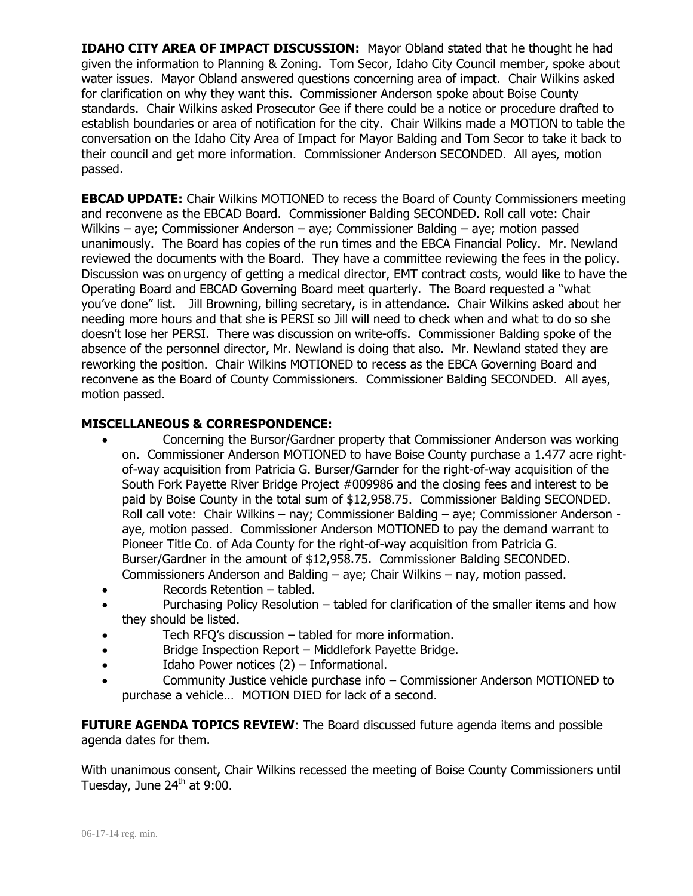**IDAHO CITY AREA OF IMPACT DISCUSSION:** Mayor Obland stated that he thought he had given the information to Planning & Zoning. Tom Secor, Idaho City Council member, spoke about water issues. Mayor Obland answered questions concerning area of impact. Chair Wilkins asked for clarification on why they want this. Commissioner Anderson spoke about Boise County standards. Chair Wilkins asked Prosecutor Gee if there could be a notice or procedure drafted to establish boundaries or area of notification for the city. Chair Wilkins made a MOTION to table the conversation on the Idaho City Area of Impact for Mayor Balding and Tom Secor to take it back to their council and get more information. Commissioner Anderson SECONDED. All ayes, motion passed.

**EBCAD UPDATE:** Chair Wilkins MOTIONED to recess the Board of County Commissioners meeting and reconvene as the EBCAD Board. Commissioner Balding SECONDED. Roll call vote: Chair Wilkins – aye; Commissioner Anderson – aye; Commissioner Balding – aye; motion passed unanimously. The Board has copies of the run times and the EBCA Financial Policy. Mr. Newland reviewed the documents with the Board. They have a committee reviewing the fees in the policy. Discussion was on urgency of getting a medical director, EMT contract costs, would like to have the Operating Board and EBCAD Governing Board meet quarterly. The Board requested a "what you've done" list. Jill Browning, billing secretary, is in attendance. Chair Wilkins asked about her needing more hours and that she is PERSI so Jill will need to check when and what to do so she doesn't lose her PERSI. There was discussion on write-offs. Commissioner Balding spoke of the absence of the personnel director, Mr. Newland is doing that also. Mr. Newland stated they are reworking the position. Chair Wilkins MOTIONED to recess as the EBCA Governing Board and reconvene as the Board of County Commissioners. Commissioner Balding SECONDED. All ayes, motion passed.

## **MISCELLANEOUS & CORRESPONDENCE:**

- Concerning the Bursor/Gardner property that Commissioner Anderson was working on. Commissioner Anderson MOTIONED to have Boise County purchase a 1.477 acre rightof-way acquisition from Patricia G. Burser/Garnder for the right-of-way acquisition of the South Fork Payette River Bridge Project #009986 and the closing fees and interest to be paid by Boise County in the total sum of \$12,958.75. Commissioner Balding SECONDED. Roll call vote: Chair Wilkins – nay; Commissioner Balding – aye; Commissioner Anderson aye, motion passed. Commissioner Anderson MOTIONED to pay the demand warrant to Pioneer Title Co. of Ada County for the right-of-way acquisition from Patricia G. Burser/Gardner in the amount of \$12,958.75. Commissioner Balding SECONDED. Commissioners Anderson and Balding – aye; Chair Wilkins – nay, motion passed.
- Records Retention tabled.
- Purchasing Policy Resolution tabled for clarification of the smaller items and how they should be listed.
- Tech RFQ's discussion tabled for more information.
- Bridge Inspection Report Middlefork Payette Bridge.
- Idaho Power notices (2) Informational.
- Community Justice vehicle purchase info Commissioner Anderson MOTIONED to purchase a vehicle… MOTION DIED for lack of a second.

**FUTURE AGENDA TOPICS REVIEW:** The Board discussed future agenda items and possible agenda dates for them.

With unanimous consent, Chair Wilkins recessed the meeting of Boise County Commissioners until Tuesday, June  $24<sup>th</sup>$  at 9:00.